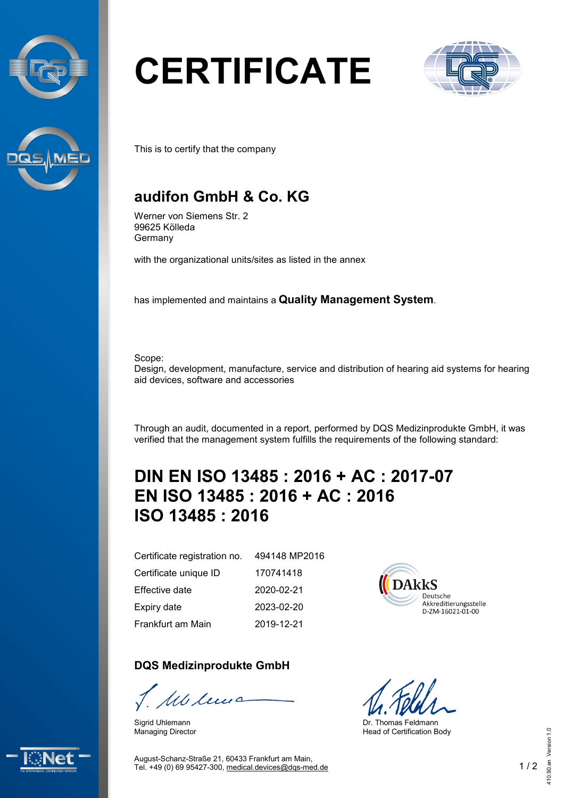



# **CERTIFICATE**



This is to certify that the company

### **audifon GmbH & Co. KG**

Werner von Siemens Str. 2 99625 Kölleda Germany

with the organizational units/sites as listed in the annex

has implemented and maintains a **Quality Management System**.

Scope: Design, development, manufacture, service and distribution of hearing aid systems for hearing aid devices, software and accessories

Through an audit, documented in a report, performed by DQS Medizinprodukte GmbH, it was verified that the management system fulfills the requirements of the following standard:

## **DIN EN ISO 13485 : 2016 + AC : 2017-07 EN ISO 13485 : 2016 + AC : 2016 ISO 13485 : 2016**

Certificate registration no. Certificate unique ID Effective date

Expiry date

Frankfurt am Main

#### **DQS Medizinprodukte GmbH**

We leve

Sigrid Uhlemann Managing Director

494148 MP2016 170741418 2020-02-21 2023-02-20 2019-12-21



Dr. Thomas Feldmann Head of Certification Body



August-Schanz-Straße 21, 60433 Frankfurt am Main, Tel. +49 (0) 69 95427-300, [medical.devices@dqs-med.de](mailto:medical.devices@dqs-med.de) 1 / 2